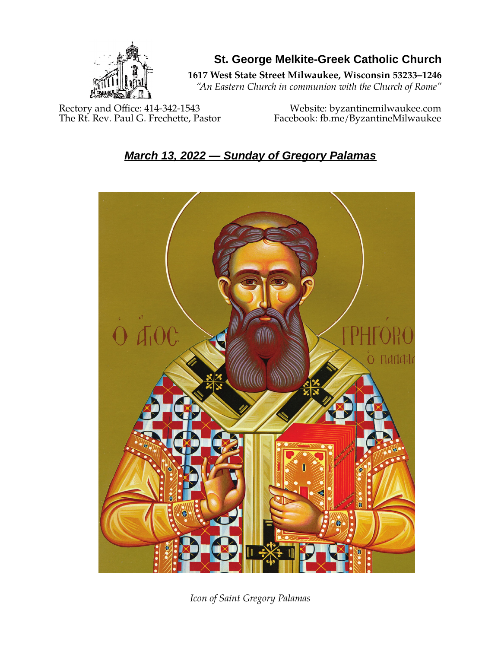

**St. George Melkite-Greek Catholic Church**

**1617 West State Street Milwaukee, Wisconsin 53233–1246**

*"An Eastern Church in communion with the Church of Rome"*

Rectory and Office: 414-342-1543 Website: [byzantinemilwaukee.com](https://byzantinemilwaukee.com/)

The Rt. Rev. Paul G. Frechette, Pastor Facebook: fb.me/ByzantineMilwaukee

# *March 13, 2022 — Sunday of Gregory Palamas*



*Icon of Saint Gregory Palamas*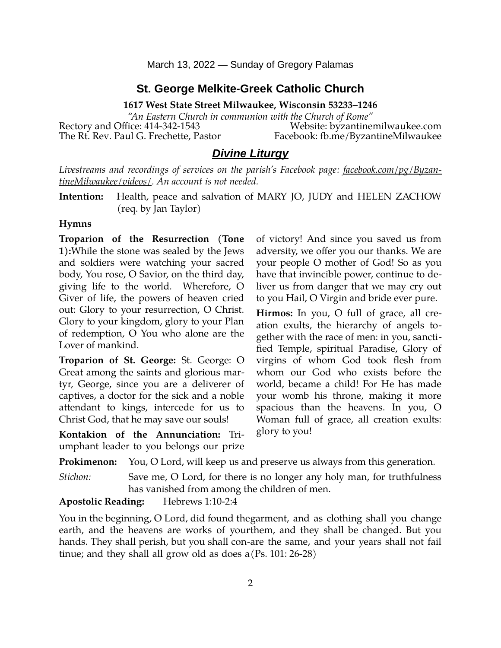#### **St. George Melkite-Greek Catholic Church**

**1617 West State Street Milwaukee, Wisconsin 53233–1246**

*"An Eastern Church in communion with the Church of Rome"* Rectory and Office: 414-342-1543 Website: [byzantinemilwaukee.com](https://byzantinemilwaukee.com/)

The Rt. Rev. Paul G. Frechette, Pastor Facebook: fb.me/ByzantineMilwaukee

## *Divine Liturgy*

*Livestreams and recordings of services on the parish's Facebook page: [facebook.com/pg/Byzan](https://www.facebook.com/pg/ByzantineMilwaukee/videos/)[tineMilwaukee/videos/.](https://www.facebook.com/pg/ByzantineMilwaukee/videos/) An account is not needed.*

**Intention:** Health, peace and salvation of MARY JO, JUDY and HELEN ZACHOW (req. by Jan Taylor)

#### **Hymns**

**Troparion of the Resurrection (Tone 1):**While the stone was sealed by the Jews and soldiers were watching your sacred body, You rose, O Savior, on the third day, giving life to the world. Wherefore, O Giver of life, the powers of heaven cried out: Glory to your resurrection, O Christ. Glory to your kingdom, glory to your Plan of redemption, O You who alone are the Lover of mankind.

**Troparion of St. George:** St. George: O Great among the saints and glorious martyr, George, since you are a deliverer of captives, a doctor for the sick and a noble attendant to kings, intercede for us to Christ God, that he may save our souls!

**Kontakion of the Annunciation:** Triumphant leader to you belongs our prize of victory! And since you saved us from adversity, we offer you our thanks. We are your people O mother of God! So as you have that invincible power, continue to deliver us from danger that we may cry out to you Hail, O Virgin and bride ever pure.

**Hirmos:** In you, O full of grace, all creation exults, the hierarchy of angels together with the race of men: in you, sanctified Temple, spiritual Paradise, Glory of virgins of whom God took flesh from whom our God who exists before the world, became a child! For He has made your womb his throne, making it more spacious than the heavens. In you, O Woman full of grace, all creation exults: glory to you!

**Prokimenon:** You, O Lord, will keep us and preserve us always from this generation.

*Stichon:* Save me, O Lord, for there is no longer any holy man, for truthfulness has vanished from among the children of men.

**Apostolic Reading:** Hebrews 1:10-2:4

You in the beginning, O Lord, did found the garment, and as clothing shall you change earth, and the heavens are works of vourthem, and they shall be changed. But you hands. They shall perish, but you shall con-are the same, and your years shall not fail tinue; and they shall all grow old as does a (Ps. 101: 26-28)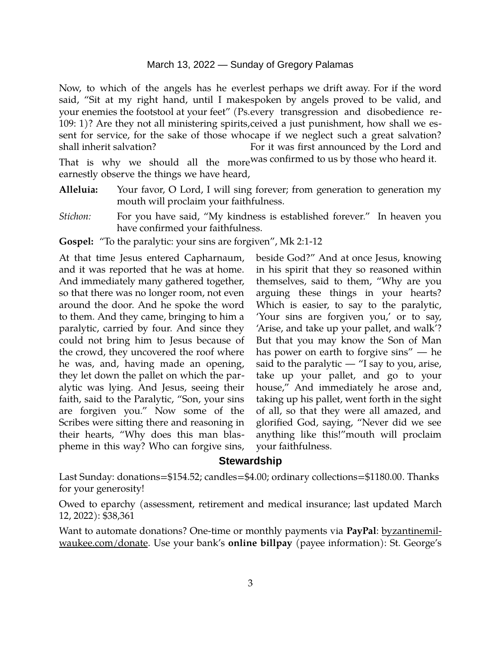#### March 13, 2022 — Sunday of Gregory Palamas

Now, to which of the angels has he ever lest perhaps we drift away. For if the word said, "Sit at my right hand, until I make spoken by angels proved to be valid, and your enemies the footstool at your feet" (Ps. every transgression and disobedience re-109: 1)? Are they not all ministering spirits, ceived a just punishment, how shall we essent for service, for the sake of those who cape if we neglect such a great salvation? shall inherit salvation? That is why we should all the more was confirmed to us by those who heard it. For it was first announced by the Lord and

earnestly observe the things we have heard,

- **Alleluia:** Your favor, O Lord, I will sing forever; from generation to generation my mouth will proclaim your faithfulness.
- *Stichon:* For you have said, "My kindness is established forever." In heaven you have confirmed your faithfulness.
- **Gospel:** "To the paralytic: your sins are forgiven", Mk 2:1-12

At that time Jesus entered Capharnaum, and it was reported that he was at home. And immediately many gathered together, so that there was no longer room, not even around the door. And he spoke the word to them. And they came, bringing to him a paralytic, carried by four. And since they could not bring him to Jesus because of the crowd, they uncovered the roof where he was, and, having made an opening, they let down the pallet on which the paralytic was lying. And Jesus, seeing their faith, said to the Paralytic, "Son, your sins are forgiven you." Now some of the Scribes were sitting there and reasoning in their hearts, "Why does this man blaspheme in this way? Who can forgive sins,

beside God?" And at once Jesus, knowing in his spirit that they so reasoned within themselves, said to them, "Why are you arguing these things in your hearts? Which is easier, to say to the paralytic, 'Your sins are forgiven you,' or to say, 'Arise, and take up your pallet, and walk'? But that you may know the Son of Man has power on earth to forgive sins" ― he said to the paralytic  $-$  "I say to you, arise, take up your pallet, and go to your house," And immediately he arose and, taking up his pallet, went forth in the sight of all, so that they were all amazed, and glorified God, saying, "Never did we see anything like this!"mouth will proclaim your faithfulness.

#### **Stewardship**

Last Sunday: donations=\$154.52; candles=\$4.00; ordinary collections=\$1180.00. Thanks for your generosity!

Owed to eparchy (assessment, retirement and medical insurance; last updated March 12, 2022): \$38,361

Want to automate donations? One-time or monthly payments via **PayPal**: <u>byzantinemil-</u> [waukee.com/donate.](https://byzantinemilwaukee.com/donate/) Use your bank's **online billpay** (payee information): St. George's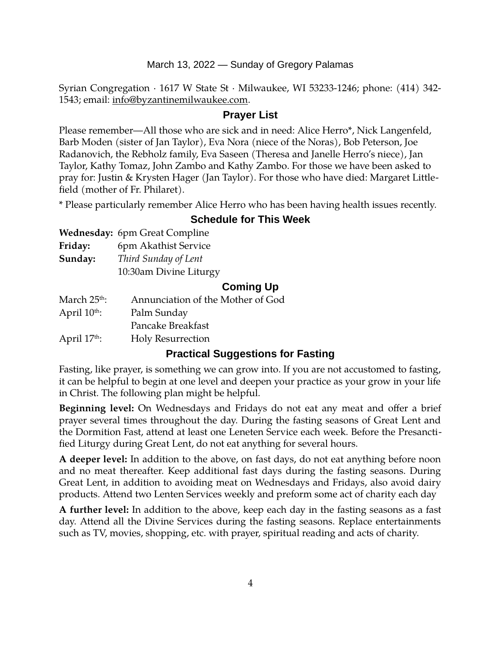#### March 13, 2022 — Sunday of Gregory Palamas

Syrian Congregation · 1617 W State St · Milwaukee, WI 53233-1246; phone: (414) 342- 1543; email: [info@byzantinemilwaukee.com](mailto:info@byzantinemilwaukee.com).

#### **Prayer List**

Please remember—All those who are sick and in need: Alice Herro\*, Nick Langenfeld, Barb Moden (sister of Jan Taylor), Eva Nora (niece of the Noras), Bob Peterson, Joe Radanovich, the Rebholz family, Eva Saseen (Theresa and Janelle Herro's niece), Jan Taylor, Kathy Tomaz, John Zambo and Kathy Zambo. For those we have been asked to pray for: Justin & Krysten Hager (Jan Taylor). For those who have died: Margaret Littlefield (mother of Fr. Philaret).

\* Please particularly remember Alice Herro who has been having health issues recently.

## **Schedule for This Week**

|          | Wednesday: 6pm Great Compline      |  |
|----------|------------------------------------|--|
| <b>.</b> | $\sim$ $\sim$ $\sim$ $\sim$ $\sim$ |  |

| rriaay: |  | bpm Akathist Service |
|---------|--|----------------------|
|         |  |                      |

**Sunday:** *Third Sunday of Lent*

10:30am Divine Liturgy

## **Coming Up**

| March 25 <sup>th</sup> : | Annunciation of the Mother of God |
|--------------------------|-----------------------------------|
| April $10^{th}$ :        | Palm Sunday                       |
|                          | Pancake Breakfast                 |
| April $17th$ :           | <b>Holy Resurrection</b>          |
|                          |                                   |

## **Practical Suggestions for Fasting**

Fasting, like prayer, is something we can grow into. If you are not accustomed to fasting, it can be helpful to begin at one level and deepen your practice as your grow in your life in Christ. The following plan might be helpful.

**Beginning level:** On Wednesdays and Fridays do not eat any meat and offer a brief prayer several times throughout the day. During the fasting seasons of Great Lent and the Dormition Fast, attend at least one Leneten Service each week. Before the Presanctified Liturgy during Great Lent, do not eat anything for several hours.

**A deeper level:** In addition to the above, on fast days, do not eat anything before noon and no meat thereafter. Keep additional fast days during the fasting seasons. During Great Lent, in addition to avoiding meat on Wednesdays and Fridays, also avoid dairy products. Attend two Lenten Services weekly and preform some act of charity each day

**A further level:** In addition to the above, keep each day in the fasting seasons as a fast day. Attend all the Divine Services during the fasting seasons. Replace entertainments such as TV, movies, shopping, etc. with prayer, spiritual reading and acts of charity.